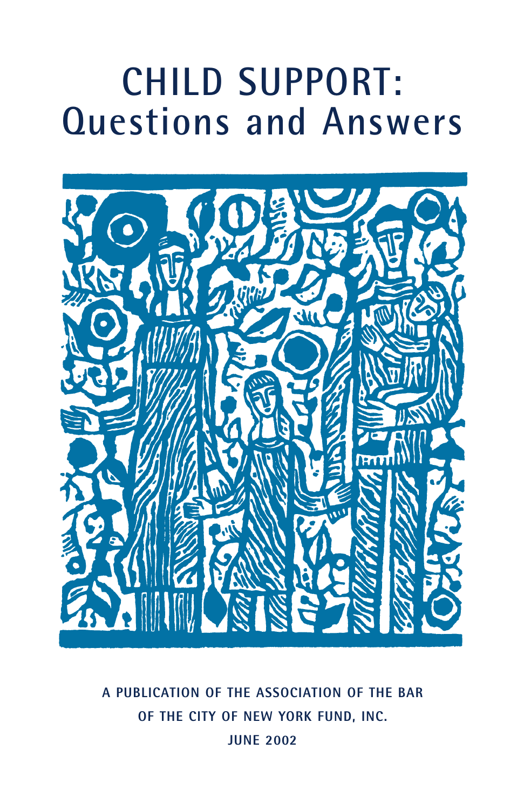# **CHILD SUPPORT: Questions and Answers**



**A PUBLICATION OF THE ASSOCIATION OF THE BAR OF THE CITY OF NEW YORK FUND, INC. JUNE 2002**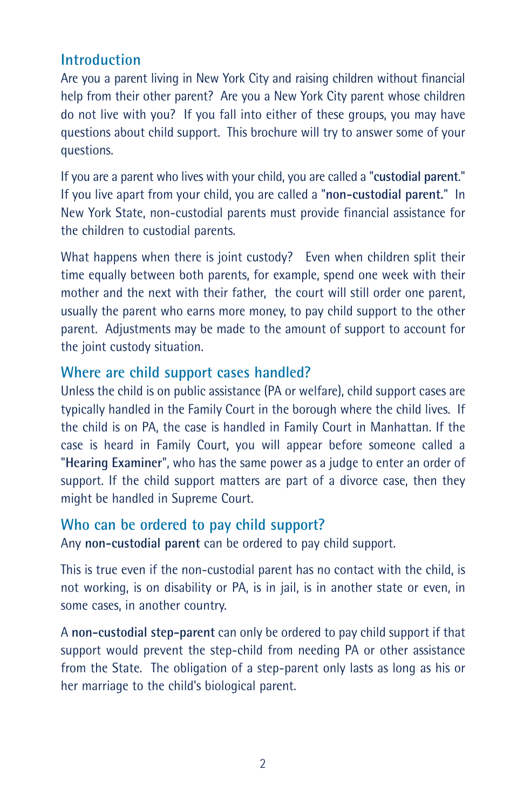# **Introduction**

Are you a parent living in New York City and raising children without financial help from their other parent? Are you a New York City parent whose children do not live with you? If you fall into either of these groups, you may have questions about child support. This brochure will try to answer some of your questions.

If you are a parent who lives with your child, you are called a "**custodial parent**." If you live apart from your child, you are called a "**non-custodial parent.**" In New York State, non-custodial parents must provide financial assistance for the children to custodial parents.

What happens when there is joint custody? Even when children split their time equally between both parents, for example, spend one week with their mother and the next with their father, the court will still order one parent, usually the parent who earns more money, to pay child support to the other parent. Adjustments may be made to the amount of support to account for the joint custody situation.

## **Where are child support cases handled?**

Unless the child is on public assistance (PA or welfare), child support cases are typically handled in the Family Court in the borough where the child lives. If the child is on PA, the case is handled in Family Court in Manhattan. If the case is heard in Family Court, you will appear before someone called a "**Hearing Examiner**", who has the same power as a judge to enter an order of support. If the child support matters are part of a divorce case, then they might be handled in Supreme Court.

#### **Who can be ordered to pay child support?**

Any **non-custodial parent** can be ordered to pay child support.

This is true even if the non-custodial parent has no contact with the child, is not working, is on disability or PA, is in jail, is in another state or even, in some cases, in another country.

A **non-custodial step-parent** can only be ordered to pay child support if that support would prevent the step-child from needing PA or other assistance from the State. The obligation of a step-parent only lasts as long as his or her marriage to the child's biological parent.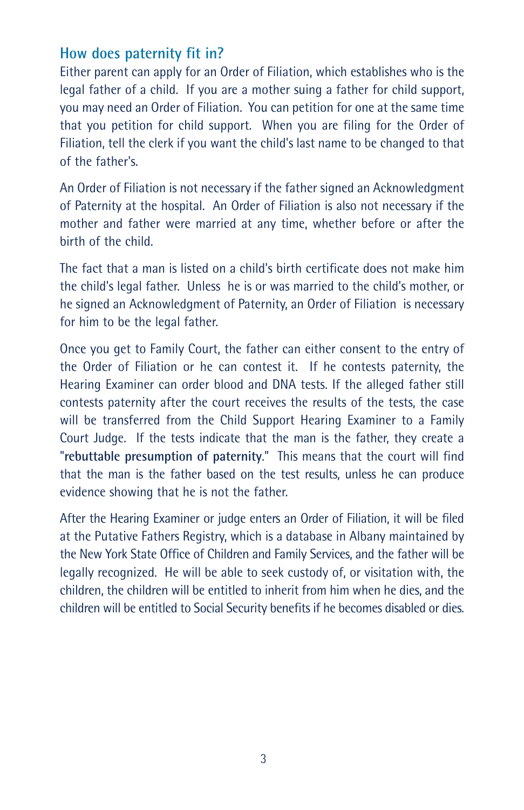## **How does paternity fit in?**

Either parent can apply for an Order of Filiation, which establishes who is the legal father of a child. If you are a mother suing a father for child support, you may need an Order of Filiation. You can petition for one at the same time that you petition for child support. When you are filing for the Order of Filiation, tell the clerk if you want the child's last name to be changed to that of the father's.

An Order of Filiation is not necessary if the father signed an Acknowledgment of Paternity at the hospital. An Order of Filiation is also not necessary if the mother and father were married at any time, whether before or after the birth of the child.

The fact that a man is listed on a child's birth certificate does not make him the child's legal father. Unless he is or was married to the child's mother, or he signed an Acknowledgment of Paternity, an Order of Filiation is necessary for him to be the legal father.

Once you get to Family Court, the father can either consent to the entry of the Order of Filiation or he can contest it. If he contests paternity, the Hearing Examiner can order blood and DNA tests. If the alleged father still contests paternity after the court receives the results of the tests, the case will be transferred from the Child Support Hearing Examiner to a Family Court Judge. If the tests indicate that the man is the father, they create a "**rebuttable presumption of paternity**." This means that the court will find that the man is the father based on the test results, unless he can produce evidence showing that he is not the father.

After the Hearing Examiner or judge enters an Order of Filiation, it will be filed at the Putative Fathers Registry, which is a database in Albany maintained by the New York State Office of Children and Family Services, and the father will be legally recognized. He will be able to seek custody of, or visitation with, the children, the children will be entitled to inherit from him when he dies, and the children will be entitled to Social Security benefits if he becomes disabled or dies.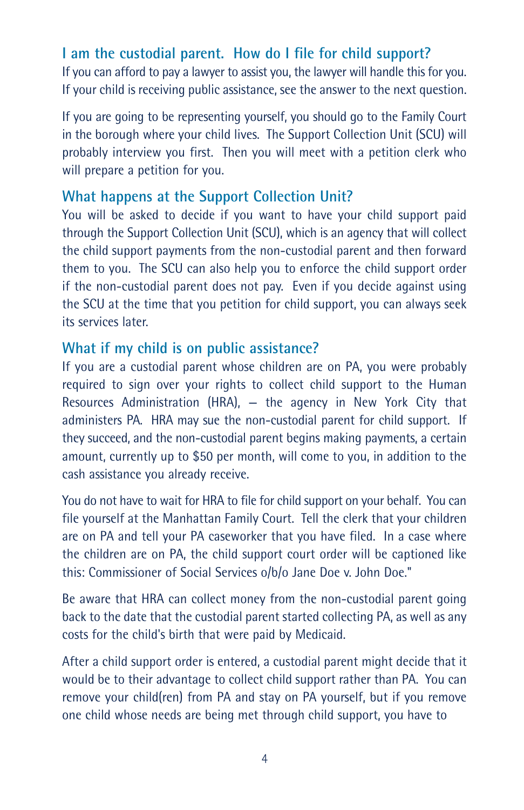# **I am the custodial parent. How do I file for child support?**

If you can afford to pay a lawyer to assist you, the lawyer will handle this for you. If your child is receiving public assistance, see the answer to the next question.

If you are going to be representing yourself, you should go to the Family Court in the borough where your child lives. The Support Collection Unit (SCU) will probably interview you first. Then you will meet with a petition clerk who will prepare a petition for you.

## **What happens at the Support Collection Unit?**

You will be asked to decide if you want to have your child support paid through the Support Collection Unit (SCU), which is an agency that will collect the child support payments from the non-custodial parent and then forward them to you. The SCU can also help you to enforce the child support order if the non-custodial parent does not pay. Even if you decide against using the SCU at the time that you petition for child support, you can always seek its services later.

#### **What if my child is on public assistance?**

If you are a custodial parent whose children are on PA, you were probably required to sign over your rights to collect child support to the Human Resources Administration (HRA), — the agency in New York City that administers PA. HRA may sue the non-custodial parent for child support. If they succeed, and the non-custodial parent begins making payments, a certain amount, currently up to \$50 per month, will come to you, in addition to the cash assistance you already receive.

You do not have to wait for HRA to file for child support on your behalf. You can file yourself at the Manhattan Family Court. Tell the clerk that your children are on PA and tell your PA caseworker that you have filed. In a case where the children are on PA, the child support court order will be captioned like this: Commissioner of Social Services o/b/o Jane Doe v. John Doe."

Be aware that HRA can collect money from the non-custodial parent going back to the date that the custodial parent started collecting PA, as well as any costs for the child's birth that were paid by Medicaid.

After a child support order is entered, a custodial parent might decide that it would be to their advantage to collect child support rather than PA. You can remove your child(ren) from PA and stay on PA yourself, but if you remove one child whose needs are being met through child support, you have to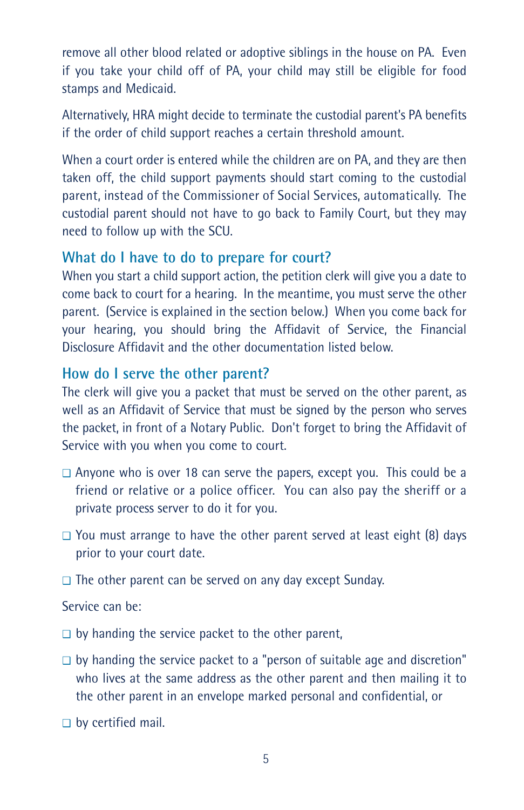remove all other blood related or adoptive siblings in the house on PA. Even if you take your child off of PA, your child may still be eligible for food stamps and Medicaid.

Alternatively, HRA might decide to terminate the custodial parent's PA benefits if the order of child support reaches a certain threshold amount.

When a court order is entered while the children are on PA, and they are then taken off, the child support payments should start coming to the custodial parent, instead of the Commissioner of Social Services, automatically. The custodial parent should not have to go back to Family Court, but they may need to follow up with the SCU.

## **What do I have to do to prepare for court?**

When you start a child support action, the petition clerk will give you a date to come back to court for a hearing. In the meantime, you must serve the other parent. (Service is explained in the section below.) When you come back for your hearing, you should bring the Affidavit of Service, the Financial Disclosure Affidavit and the other documentation listed below.

#### **How do I serve the other parent?**

The clerk will give you a packet that must be served on the other parent, as well as an Affidavit of Service that must be signed by the person who serves the packet, in front of a Notary Public. Don't forget to bring the Affidavit of Service with you when you come to court.

- ❑ Anyone who is over 18 can serve the papers, except you. This could be a friend or relative or a police officer. You can also pay the sheriff or a private process server to do it for you.
- ❑ You must arrange to have the other parent served at least eight (8) days prior to your court date.
- ❑ The other parent can be served on any day except Sunday.

#### Service can be:

- ❑ by handing the service packet to the other parent,
- ❑ by handing the service packet to a "person of suitable age and discretion" who lives at the same address as the other parent and then mailing it to the other parent in an envelope marked personal and confidential, or
- ❑ by certified mail.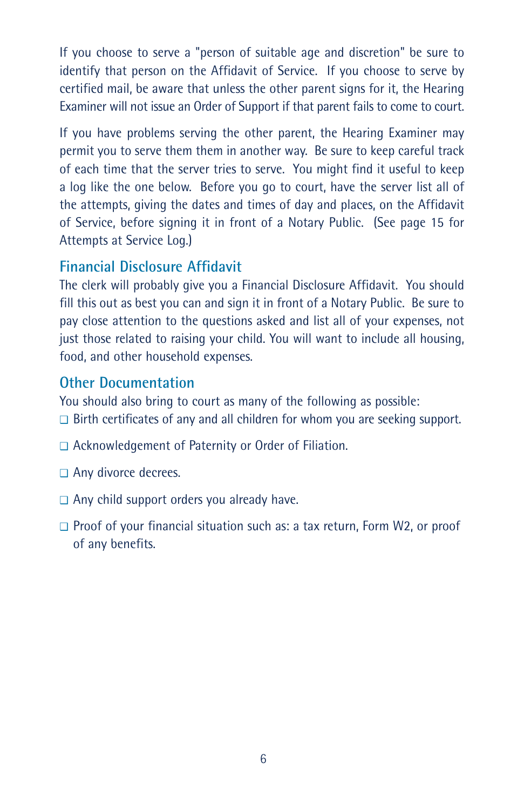If you choose to serve a "person of suitable age and discretion" be sure to identify that person on the Affidavit of Service. If you choose to serve by certified mail, be aware that unless the other parent signs for it, the Hearing Examiner will not issue an Order of Support if that parent fails to come to court.

If you have problems serving the other parent, the Hearing Examiner may permit you to serve them them in another way. Be sure to keep careful track of each time that the server tries to serve. You might find it useful to keep a log like the one below. Before you go to court, have the server list all of the attempts, giving the dates and times of day and places, on the Affidavit of Service, before signing it in front of a Notary Public. (See page 15 for Attempts at Service Log.)

## **Financial Disclosure Affidavit**

The clerk will probably give you a Financial Disclosure Affidavit. You should fill this out as best you can and sign it in front of a Notary Public. Be sure to pay close attention to the questions asked and list all of your expenses, not just those related to raising your child. You will want to include all housing, food, and other household expenses.

## **Other Documentation**

You should also bring to court as many of the following as possible: ❑ Birth certificates of any and all children for whom you are seeking support.

- ❑ Acknowledgement of Paternity or Order of Filiation.
- ❑ Any divorce decrees.
- ❑ Any child support orders you already have.
- ❑ Proof of your financial situation such as: a tax return, Form W2, or proof of any benefits.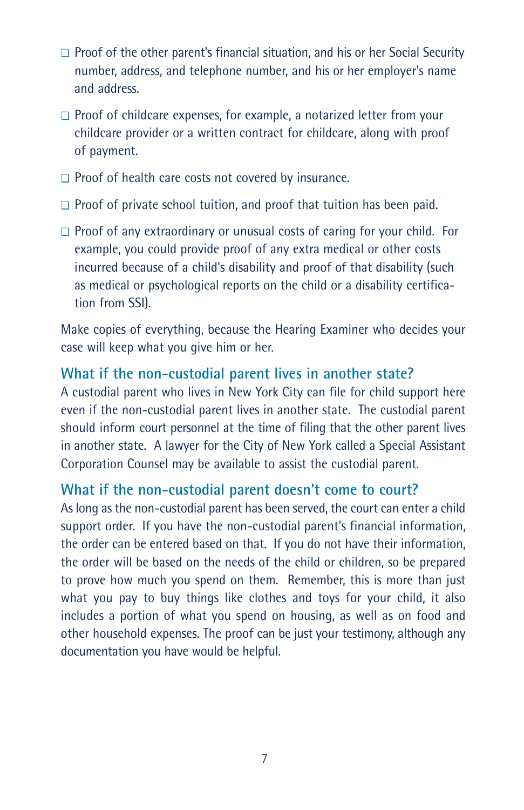- ❑ Proof of the other parent's financial situation, and his or her Social Security number, address, and telephone number, and his or her employer's name and address.
- ❑ Proof of childcare expenses, for example, a notarized letter from your childcare provider or a written contract for childcare, along with proof of payment.
- ❑ Proof of health care costs not covered by insurance.
- ❑ Proof of private school tuition, and proof that tuition has been paid.
- ❑ Proof of any extraordinary or unusual costs of caring for your child. For example, you could provide proof of any extra medical or other costs incurred because of a child's disability and proof of that disability (such as medical or psychological reports on the child or a disability certification from SSI).

Make copies of everything, because the Hearing Examiner who decides your case will keep what you give him or her.

#### **What if the non-custodial parent lives in another state?**

A custodial parent who lives in New York City can file for child support here even if the non-custodial parent lives in another state. The custodial parent should inform court personnel at the time of filing that the other parent lives in another state. A lawyer for the City of New York called a Special Assistant Corporation Counsel may be available to assist the custodial parent.

#### **What if the non-custodial parent doesn't come to court?**

As long as the non-custodial parent has been served, the court can enter a child support order. If you have the non-custodial parent's financial information, the order can be entered based on that. If you do not have their information, the order will be based on the needs of the child or children, so be prepared to prove how much you spend on them. Remember, this is more than just what you pay to buy things like clothes and toys for your child, it also includes a portion of what you spend on housing, as well as on food and other household expenses. The proof can be just your testimony, although any documentation you have would be helpful.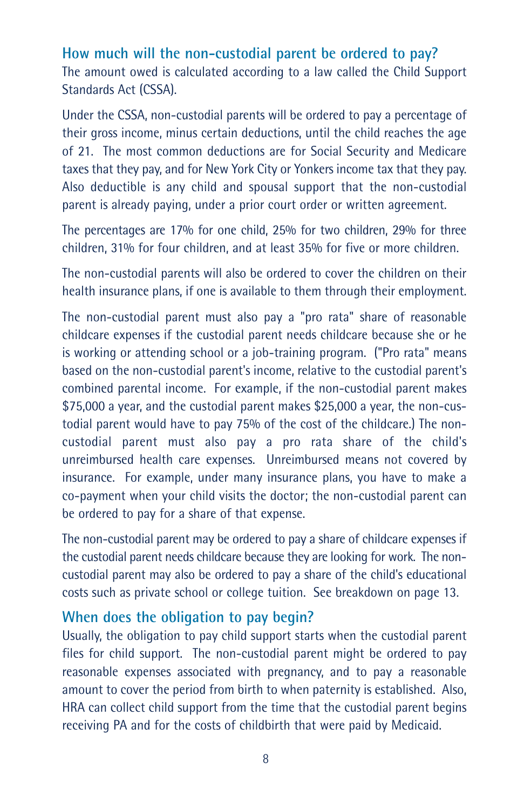**How much will the non-custodial parent be ordered to pay?** The amount owed is calculated according to a law called the Child Support Standards Act (CSSA).

Under the CSSA, non-custodial parents will be ordered to pay a percentage of their gross income, minus certain deductions, until the child reaches the age of 21. The most common deductions are for Social Security and Medicare taxes that they pay, and for New York City or Yonkers income tax that they pay. Also deductible is any child and spousal support that the non-custodial parent is already paying, under a prior court order or written agreement.

The percentages are 17% for one child, 25% for two children, 29% for three children, 31% for four children, and at least 35% for five or more children.

The non-custodial parents will also be ordered to cover the children on their health insurance plans, if one is available to them through their employment.

The non-custodial parent must also pay a "pro rata" share of reasonable childcare expenses if the custodial parent needs childcare because she or he is working or attending school or a job-training program. ("Pro rata" means based on the non-custodial parent's income, relative to the custodial parent's combined parental income. For example, if the non-custodial parent makes \$75,000 a year, and the custodial parent makes \$25,000 a year, the non-custodial parent would have to pay 75% of the cost of the childcare.) The noncustodial parent must also pay a pro rata share of the child's unreimbursed health care expenses. Unreimbursed means not covered by insurance. For example, under many insurance plans, you have to make a co-payment when your child visits the doctor; the non-custodial parent can be ordered to pay for a share of that expense.

The non-custodial parent may be ordered to pay a share of childcare expenses if the custodial parent needs childcare because they are looking for work. The noncustodial parent may also be ordered to pay a share of the child's educational costs such as private school or college tuition. See breakdown on page 13.

#### **When does the obligation to pay begin?**

Usually, the obligation to pay child support starts when the custodial parent files for child support. The non-custodial parent might be ordered to pay reasonable expenses associated with pregnancy, and to pay a reasonable amount to cover the period from birth to when paternity is established. Also, HRA can collect child support from the time that the custodial parent begins receiving PA and for the costs of childbirth that were paid by Medicaid.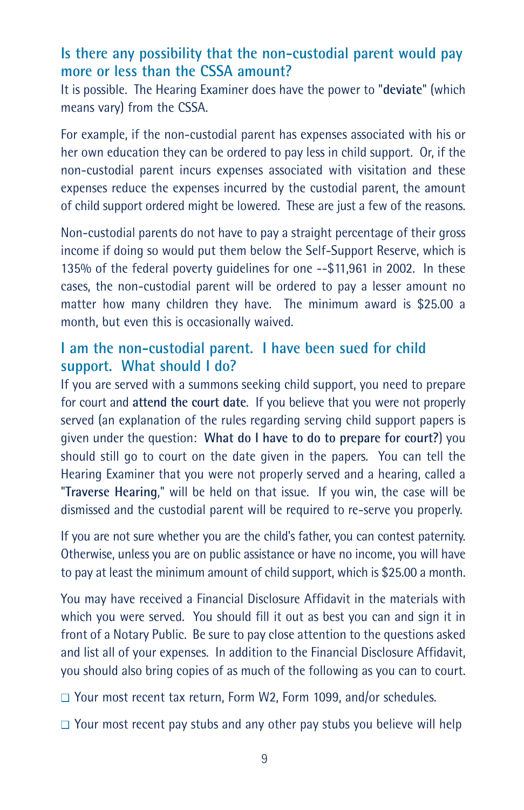## **Is there any possibility that the non-custodial parent would pay more or less than the CSSA amount?**

It is possible. The Hearing Examiner does have the power to "**deviate**" (which means vary) from the CSSA.

For example, if the non-custodial parent has expenses associated with his or her own education they can be ordered to pay less in child support. Or, if the non-custodial parent incurs expenses associated with visitation and these expenses reduce the expenses incurred by the custodial parent, the amount of child support ordered might be lowered. These are just a few of the reasons.

Non-custodial parents do not have to pay a straight percentage of their gross income if doing so would put them below the Self-Support Reserve, which is 135% of the federal poverty guidelines for one --\$11,961 in 2002. In these cases, the non-custodial parent will be ordered to pay a lesser amount no matter how many children they have. The minimum award is \$25.00 a month, but even this is occasionally waived.

## **I am the non-custodial parent. I have been sued for child support. What should I do?**

If you are served with a summons seeking child support, you need to prepare for court and **attend the court date**. If you believe that you were not properly served (an explanation of the rules regarding serving child support papers is given under the question: **What do I have to do to prepare for court?**) you should still go to court on the date given in the papers. You can tell the Hearing Examiner that you were not properly served and a hearing, called a "**Traverse Hearing**," will be held on that issue. If you win, the case will be dismissed and the custodial parent will be required to re-serve you properly.

If you are not sure whether you are the child's father, you can contest paternity. Otherwise, unless you are on public assistance or have no income, you will have to pay at least the minimum amount of child support, which is \$25.00 a month.

You may have received a Financial Disclosure Affidavit in the materials with which you were served. You should fill it out as best you can and sign it in front of a Notary Public. Be sure to pay close attention to the questions asked and list all of your expenses. In addition to the Financial Disclosure Affidavit, you should also bring copies of as much of the following as you can to court.

❑ Your most recent tax return, Form W2, Form 1099, and/or schedules.

❑ Your most recent pay stubs and any other pay stubs you believe will help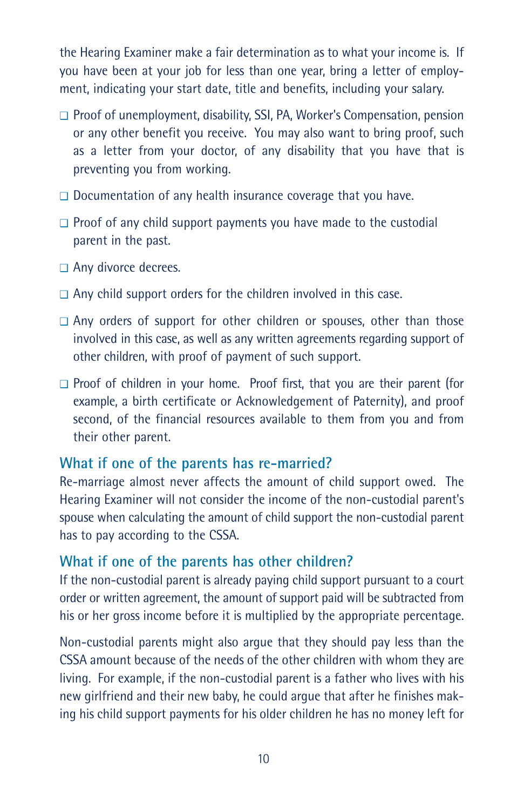the Hearing Examiner make a fair determination as to what your income is. If you have been at your job for less than one year, bring a letter of employment, indicating your start date, title and benefits, including your salary.

- ❑ Proof of unemployment, disability, SSI, PA, Worker's Compensation, pension or any other benefit you receive. You may also want to bring proof, such as a letter from your doctor, of any disability that you have that is preventing you from working.
- ❑ Documentation of any health insurance coverage that you have.
- ❑ Proof of any child support payments you have made to the custodial parent in the past.
- ❑ Any divorce decrees.
- ❑ Any child support orders for the children involved in this case.
- ❑ Any orders of support for other children or spouses, other than those involved in this case, as well as any written agreements regarding support of other children, with proof of payment of such support.
- ❑ Proof of children in your home. Proof first, that you are their parent (for example, a birth certificate or Acknowledgement of Paternity), and proof second, of the financial resources available to them from you and from their other parent.

#### **What if one of the parents has re-married?**

Re-marriage almost never affects the amount of child support owed. The Hearing Examiner will not consider the income of the non-custodial parent's spouse when calculating the amount of child support the non-custodial parent has to pay according to the CSSA.

## **What if one of the parents has other children?**

If the non-custodial parent is already paying child support pursuant to a court order or written agreement, the amount of support paid will be subtracted from his or her gross income before it is multiplied by the appropriate percentage.

Non-custodial parents might also argue that they should pay less than the CSSA amount because of the needs of the other children with whom they are living. For example, if the non-custodial parent is a father who lives with his new girlfriend and their new baby, he could argue that after he finishes making his child support payments for his older children he has no money left for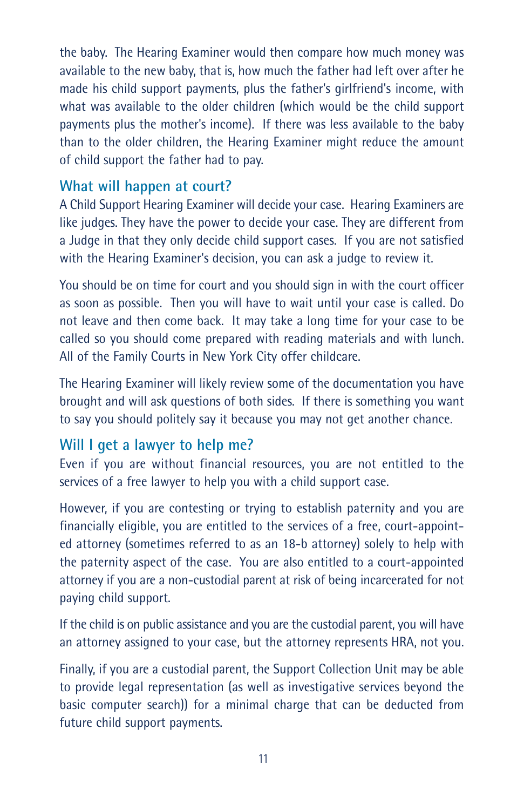the baby. The Hearing Examiner would then compare how much money was available to the new baby, that is, how much the father had left over after he made his child support payments, plus the father's girlfriend's income, with what was available to the older children (which would be the child support payments plus the mother's income). If there was less available to the baby than to the older children, the Hearing Examiner might reduce the amount of child support the father had to pay.

## **What will happen at court?**

A Child Support Hearing Examiner will decide your case. Hearing Examiners are like judges. They have the power to decide your case. They are different from a Judge in that they only decide child support cases. If you are not satisfied with the Hearing Examiner's decision, you can ask a judge to review it.

You should be on time for court and you should sign in with the court officer as soon as possible. Then you will have to wait until your case is called. Do not leave and then come back. It may take a long time for your case to be called so you should come prepared with reading materials and with lunch. All of the Family Courts in New York City offer childcare.

The Hearing Examiner will likely review some of the documentation you have brought and will ask questions of both sides. If there is something you want to say you should politely say it because you may not get another chance.

#### **Will I get a lawyer to help me?**

Even if you are without financial resources, you are not entitled to the services of a free lawyer to help you with a child support case.

However, if you are contesting or trying to establish paternity and you are financially eligible, you are entitled to the services of a free, court-appointed attorney (sometimes referred to as an 18-b attorney) solely to help with the paternity aspect of the case. You are also entitled to a court-appointed attorney if you are a non-custodial parent at risk of being incarcerated for not paying child support.

If the child is on public assistance and you are the custodial parent, you will have an attorney assigned to your case, but the attorney represents HRA, not you.

Finally, if you are a custodial parent, the Support Collection Unit may be able to provide legal representation (as well as investigative services beyond the basic computer search)) for a minimal charge that can be deducted from future child support payments.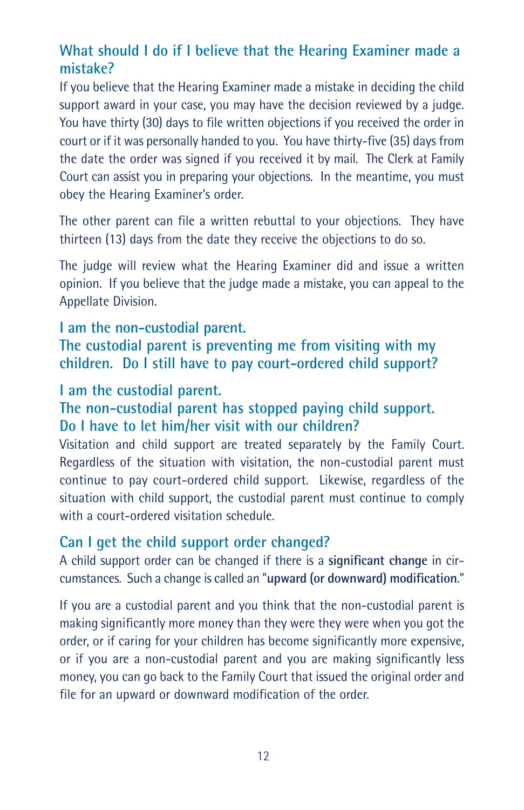# **What should I do if I believe that the Hearing Examiner made a mistake?**

If you believe that the Hearing Examiner made a mistake in deciding the child support award in your case, you may have the decision reviewed by a judge. You have thirty (30) days to file written objections if you received the order in court or if it was personally handed to you. You have thirty-five (35) days from the date the order was signed if you received it by mail. The Clerk at Family Court can assist you in preparing your objections. In the meantime, you must obey the Hearing Examiner's order.

The other parent can file a written rebuttal to your objections. They have thirteen (13) days from the date they receive the objections to do so.

The judge will review what the Hearing Examiner did and issue a written opinion. If you believe that the judge made a mistake, you can appeal to the Appellate Division.

#### **I am the non-custodial parent.**

**The custodial parent is preventing me from visiting with my children. Do I still have to pay court-ordered child support?**

#### **I am the custodial parent.**

## **The non-custodial parent has stopped paying child support. Do I have to let him/her visit with our children?**

Visitation and child support are treated separately by the Family Court. Regardless of the situation with visitation, the non-custodial parent must continue to pay court-ordered child support. Likewise, regardless of the situation with child support, the custodial parent must continue to comply with a court-ordered visitation schedule.

#### **Can I get the child support order changed?**

A child support order can be changed if there is a **significant change** in circumstances. Such a change is called an "**upward (or downward) modification**."

If you are a custodial parent and you think that the non-custodial parent is making significantly more money than they were they were when you got the order, or if caring for your children has become significantly more expensive, or if you are a non-custodial parent and you are making significantly less money, you can go back to the Family Court that issued the original order and file for an upward or downward modification of the order.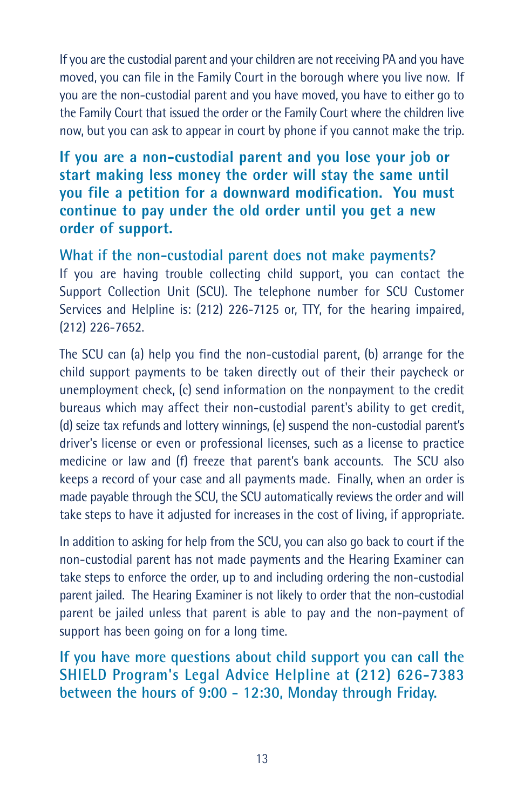If you are the custodial parent and your children are not receiving PA and you have moved, you can file in the Family Court in the borough where you live now. If you are the non-custodial parent and you have moved, you have to either go to the Family Court that issued the order or the Family Court where the children live now, but you can ask to appear in court by phone if you cannot make the trip.

## **If you are a non-custodial parent and you lose your job or start making less money the order will stay the same until you file a petition for a downward modification. You must continue to pay under the old order until you get a new order of support.**

**What if the non-custodial parent does not make payments?** If you are having trouble collecting child support, you can contact the Support Collection Unit (SCU). The telephone number for SCU Customer Services and Helpline is: (212) 226-7125 or, TTY, for the hearing impaired, (212) 226-7652.

The SCU can (a) help you find the non-custodial parent, (b) arrange for the child support payments to be taken directly out of their their paycheck or unemployment check, (c) send information on the nonpayment to the credit bureaus which may affect their non-custodial parent's ability to get credit, (d) seize tax refunds and lottery winnings, (e) suspend the non-custodial parent's driver's license or even or professional licenses, such as a license to practice medicine or law and (f) freeze that parent's bank accounts. The SCU also keeps a record of your case and all payments made. Finally, when an order is made payable through the SCU, the SCU automatically reviews the order and will take steps to have it adjusted for increases in the cost of living, if appropriate.

In addition to asking for help from the SCU, you can also go back to court if the non-custodial parent has not made payments and the Hearing Examiner can take steps to enforce the order, up to and including ordering the non-custodial parent jailed. The Hearing Examiner is not likely to order that the non-custodial parent be jailed unless that parent is able to pay and the non-payment of support has been going on for a long time.

**If you have more questions about child support you can call the SHIELD Program's Legal Advice Helpline at (212) 626-7383 between the hours of 9:00 - 12:30, Monday through Friday.**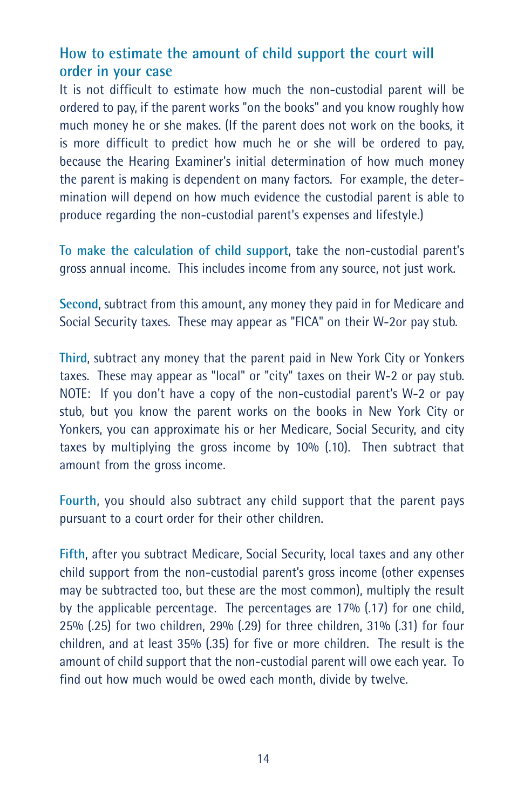# **How to estimate the amount of child support the court will order in your case**

It is not difficult to estimate how much the non-custodial parent will be ordered to pay, if the parent works "on the books" and you know roughly how much money he or she makes. (If the parent does not work on the books, it is more difficult to predict how much he or she will be ordered to pay, because the Hearing Examiner's initial determination of how much money the parent is making is dependent on many factors. For example, the determination will depend on how much evidence the custodial parent is able to produce regarding the non-custodial parent's expenses and lifestyle.)

**To make the calculation of child support**, take the non-custodial parent's gross annual income. This includes income from any source, not just work.

**Second**, subtract from this amount, any money they paid in for Medicare and Social Security taxes. These may appear as "FICA" on their W-2or pay stub.

**Third**, subtract any money that the parent paid in New York City or Yonkers taxes. These may appear as "local" or "city" taxes on their W-2 or pay stub. NOTE: If you don't have a copy of the non-custodial parent's W-2 or pay stub, but you know the parent works on the books in New York City or Yonkers, you can approximate his or her Medicare, Social Security, and city taxes by multiplying the gross income by 10% (.10). Then subtract that amount from the gross income.

**Fourth**, you should also subtract any child support that the parent pays pursuant to a court order for their other children.

**Fifth**, after you subtract Medicare, Social Security, local taxes and any other child support from the non-custodial parent's gross income (other expenses may be subtracted too, but these are the most common), multiply the result by the applicable percentage. The percentages are 17% (.17) for one child, 25% (.25) for two children, 29% (.29) for three children, 31% (.31) for four children, and at least 35% (.35) for five or more children. The result is the amount of child support that the non-custodial parent will owe each year. To find out how much would be owed each month, divide by twelve.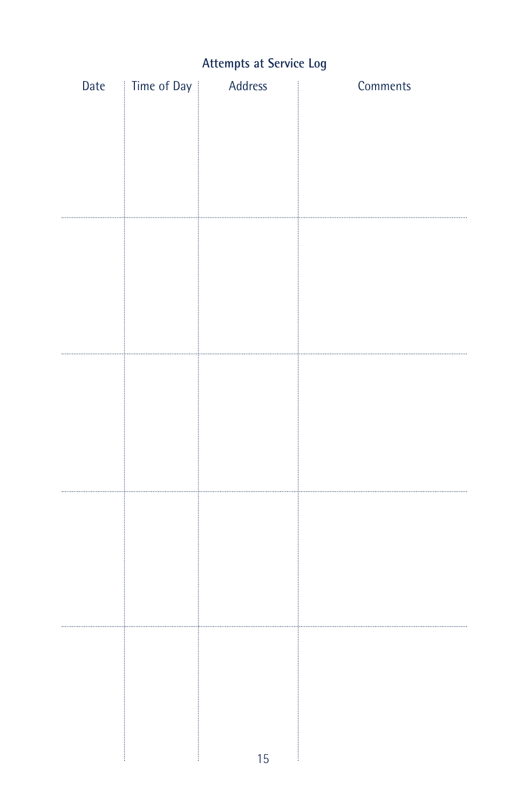# **Attempts at Service Log**

|  | Date   Time of Day | Address | Comments |
|--|--------------------|---------|----------|
|  |                    |         |          |
|  |                    |         |          |
|  |                    |         |          |
|  |                    |         |          |
|  |                    |         |          |
|  |                    |         |          |
|  |                    |         |          |
|  |                    |         |          |
|  |                    |         |          |
|  |                    |         |          |
|  |                    |         |          |
|  |                    |         |          |
|  |                    |         |          |
|  |                    |         |          |
|  |                    |         |          |
|  |                    |         |          |
|  |                    |         |          |
|  |                    |         |          |
|  |                    |         |          |
|  |                    |         |          |
|  |                    |         |          |
|  |                    |         |          |
|  |                    |         |          |
|  |                    |         |          |
|  |                    |         |          |
|  |                    |         |          |
|  |                    |         |          |
|  |                    |         |          |
|  |                    |         |          |
|  |                    | 15      |          |